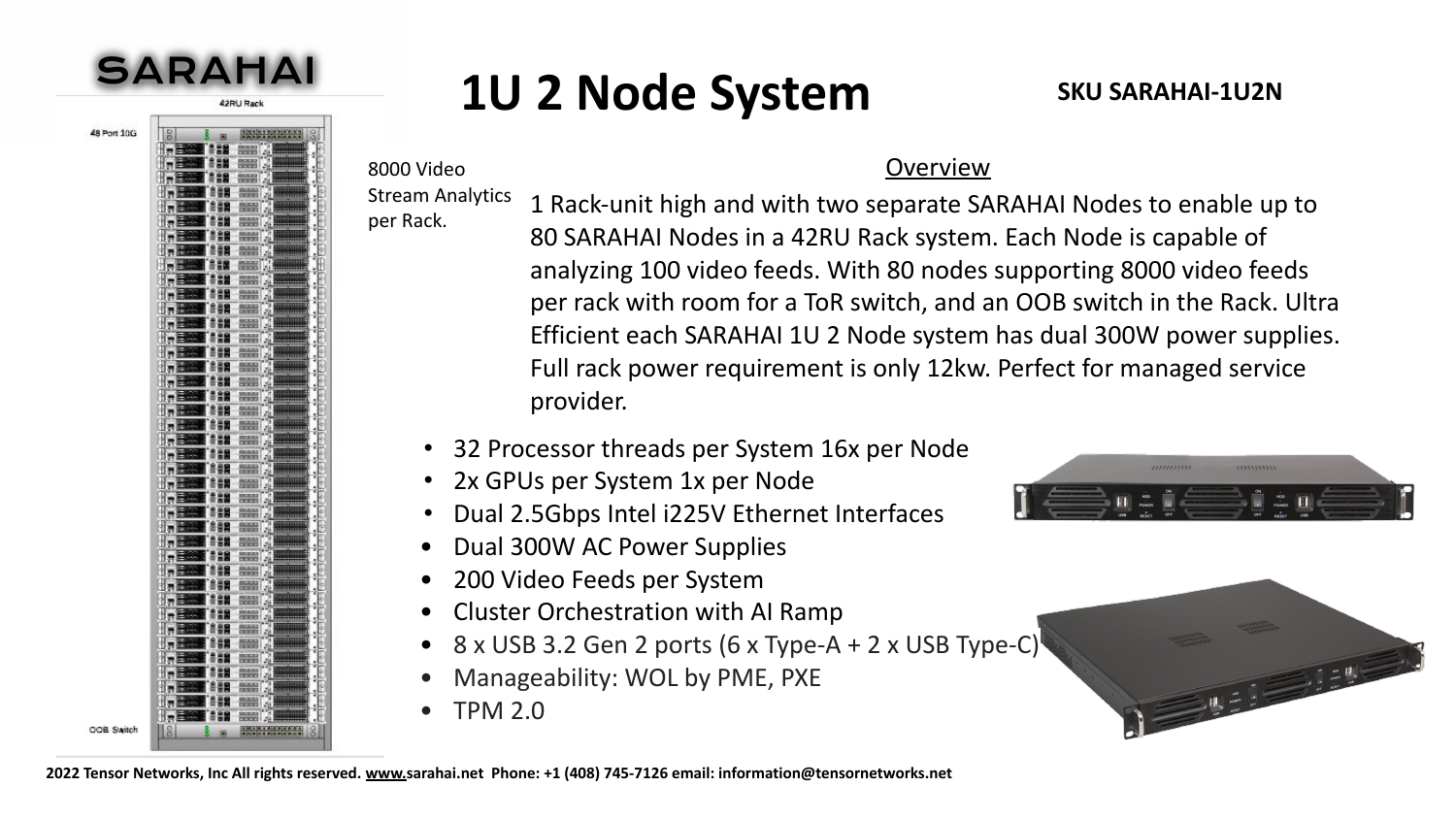

## **1U 2 Node System** SKU SARAHAI-1U2N

48 Port 10G



Stream Analytics per Rack.

8000 Video

1 Rack-unit high and with two separate SARAHAI Nodes to enable up to 80 SARAHAI Nodes in a 42RU Rack system. Each Node is capable of analyzing 100 video feeds. With 80 nodes supporting 8000 video feeds per rack with room for a ToR switch, and an OOB switch in the Rack. Ultra Efficient each SARAHAI 1U 2 Node system has dual 300W power supplies. Full rack power requirement is only 12kw. Perfect for managed service provider.

**Overview** 

- 32 Processor threads per System 16x per Node
- 2x GPUs per System 1x per Node
- Dual 2.5Gbps Intel i225V Ethernet Interfaces
- Dual 300W AC Power Supplies
- 200 Video Feeds per System
- Cluster Orchestration with AI Ramp
- $8 \times$  USB 3.2 Gen 2 ports (6 x Type-A + 2 x USB Type-C)
- Manageability: WOL by PME, PXE
- TPM 2.0





**2022 Tensor Networks, Inc All rights reserved. [www.](http://www.tensornetworks.com)sarahai.net Phone: +1 (408) 745-7126 email: information@tensornetworks.net**